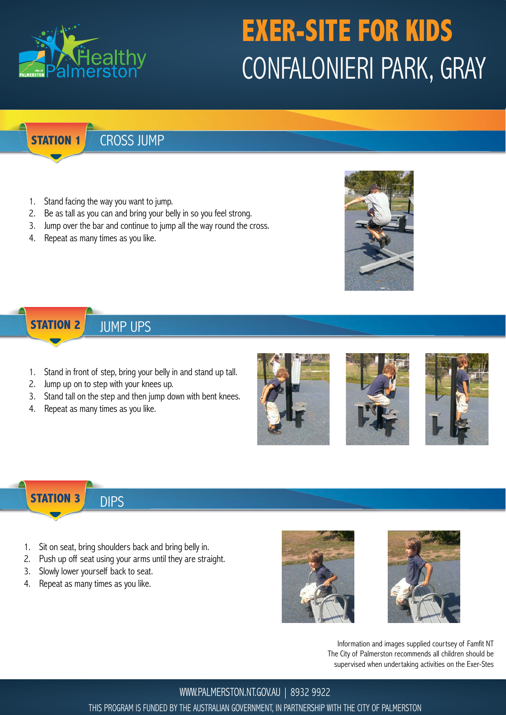

# **EXER-SITE FOR KIDS** CONFALONIERI PARK, GRAY

**STATION 1**

### CROSS JUMP

- 1. Stand facing the way you want to jump.
- 2. Be as tall as you can and bring your belly in so you feel strong.
- 3. Jump over the bar and continue to jump all the way round the cross.
- 4. Repeat as many times as you like.



#### **STATION 2** JUMP UPS

- 1. Stand in front of step, bring your belly in and stand up tall.
- 2. Jump up on to step with your knees up.
- 3. Stand tall on the step and then jump down with bent knees.
- 4. Repeat as many times as you like.







**STATION 3** DIPS

- 1. Sit on seat, bring shoulders back and bring belly in.
- 2. Push up off seat using your arms until they are straight.
- 3. Slowly lower yourself back to seat.
- 4. Repeat as many times as you like.





Information and images supplied courtsey of Famfit NT The City of Palmerston recommends all children should be supervised when undertaking activities on the Exer-Stes